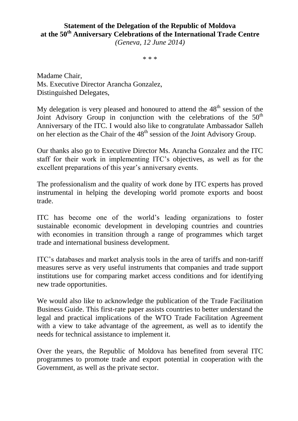## **Statement of the Delegation of the Republic of Moldova at the 50th Anniversary Celebrations of the International Trade Centre**

*(Geneva, 12 June 2014)*

\* \* \*

Madame Chair, Ms. Executive Director Arancha Gonzalez, Distinguished Delegates,

My delegation is very pleased and honoured to attend the  $48<sup>th</sup>$  session of the Joint Advisory Group in conjunction with the celebrations of the  $50<sup>th</sup>$ Anniversary of the ITC. I would also like to congratulate Ambassador Salleh on her election as the Chair of the  $48<sup>th</sup>$  session of the Joint Advisory Group.

Our thanks also go to Executive Director Ms. Arancha Gonzalez and the ITC staff for their work in implementing ITC's objectives, as well as for the excellent preparations of this year's anniversary events.

The professionalism and the quality of work done by ITC experts has proved instrumental in helping the developing world promote exports and boost trade.

ITC has become one of the world's leading organizations to foster sustainable economic development in developing countries and countries with economies in transition through a range of programmes which target trade and international business development.

ITC's databases and market analysis tools in the area of tariffs and non-tariff measures serve as very useful instruments that companies and trade support institutions use for comparing market access conditions and for identifying new trade opportunities.

We would also like to acknowledge the publication of the Trade Facilitation Business Guide. This first-rate paper assists countries to better understand the legal and practical implications of the WTO Trade Facilitation Agreement with a view to take advantage of the agreement, as well as to identify the needs for technical assistance to implement it.

Over the years, the Republic of Moldova has benefited from several ITC programmes to promote trade and export potential in cooperation with the Government, as well as the private sector.